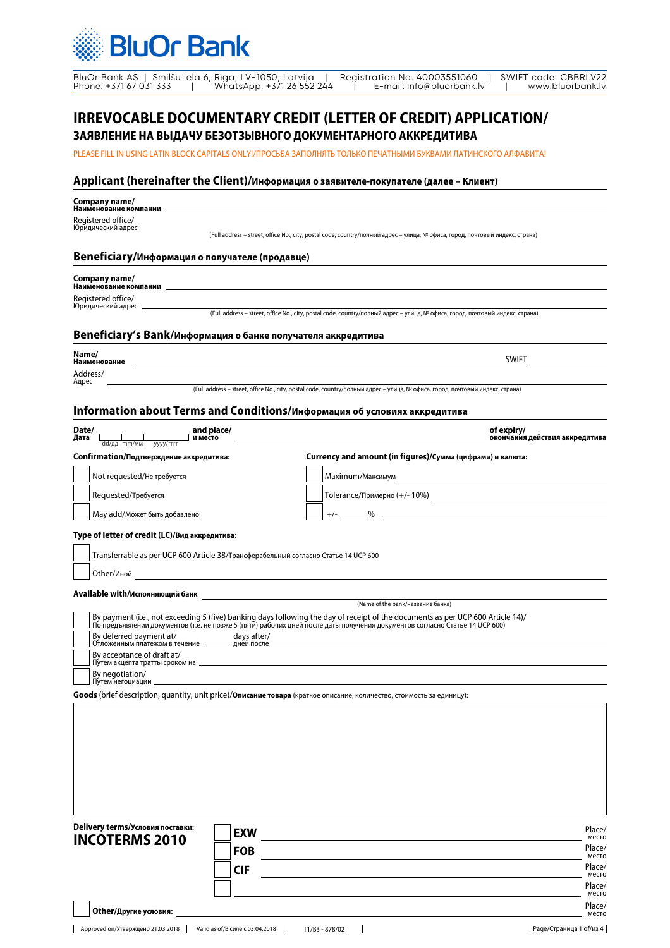|  | BluOr Bank AS   Smilšu iela 6, Rīga, LV-1050, Latvija   Registration No. 40003551060  <br>WhatsApp: +371 26 552 244<br>Phone: +371 67 031 333 |  | E-mail: info@bluorbank.lv |  | l SWIFT code: CBBRLV22<br>www.bluorbank.lv |
|--|-----------------------------------------------------------------------------------------------------------------------------------------------|--|---------------------------|--|--------------------------------------------|
|--|-----------------------------------------------------------------------------------------------------------------------------------------------|--|---------------------------|--|--------------------------------------------|

### **IRREVOCABLE DOCUMENTARY CREDIT (LETTER OF CREDIT) APPLICATION/**

**ЗАЯВЛЕНИЕ НА ВЫДАЧУ БЕЗОТЗЫВНОГО ДОКУМЕНТАРНОГО АККРЕДИТИВА**

PLEASE FILL IN USING LATIN BLOCK CAPITALS ONLY!/ПРОСЬБА ЗАПОЛНЯТЬ ТОЛЬКО ПЕЧАТНЫМИ БУКВАМИ ЛАТИНСКОГО АЛФАВИТА!

### **Applicant (hereinafter the Client)/Информация о заявителе-покупателе (далее – Клиент)**

**Company name/** 

**Наименование компании**

Registered office/ Юридический адрес

(Full address – street, office No., city, postal code, country/полный адрес – улица, № офиса, город, почтовый индекс, страна)

### **Beneficiary/Информация о получателе (продавце)**

| Company name/<br>Наименование компании |  |  |
|----------------------------------------|--|--|
|                                        |  |  |

Registered office/ Юридический адрес

(Full address – street, office No., city, postal code, country/полный адрес – улица, № офиса, город, почтовый индекс, страна)

#### **Beneficiary's Bank/Информация о банке получателя аккредитива**

| Name/<br>Наименование          | <b>SWIFT</b> |  |
|--------------------------------|--------------|--|
| <mark>Address/</mark><br>Адрес |              |  |

(Full address – street, office No., city, postal code, country/полный адрес – улица, № офиса, город, почтовый индекс, страна)

### **Information about Terms and Conditions/Информация об условиях аккредитива**

| Date/<br>Дата<br>and place/<br>и место<br>$dd/дд$ mm/мм<br>yyyy/rrrr | of expiry/<br>окончания действия аккредитива               |
|----------------------------------------------------------------------|------------------------------------------------------------|
| Confirmation/Подтверждение аккредитива:                              | Currency and amount (in figures)/Сумма (цифрами) и валюта: |
| Not requested/Не требуется                                           | Maximum/Максимум                                           |
| Requested/Требуется                                                  | Tolerance/Примерно (+/-10%)                                |
| May add/Может быть добавлено                                         | $\frac{0}{0}$<br>$+/-$                                     |
| Type of letter of credit (LC)/Вид аккредитива:                       |                                                            |

| Transferrable as per UCP 600 Article 38/Трансферабельный согласно Статье 14 UCP 600 |
|-------------------------------------------------------------------------------------|
| Other/Иной                                                                          |

**Available with/Исполняющий банк**

| (Name of the bank/название банка)                                                                                                                                                                                                                                         |
|---------------------------------------------------------------------------------------------------------------------------------------------------------------------------------------------------------------------------------------------------------------------------|
| $\mid$ By payment (i.e., not exceeding 5 (five) banking days following the day of receipt of the documents as per UCP 600 Article 14)/<br>По пре́дъявлении документов (т.е̃. не позже 5 (пяти) рабочих дней после даты получения документов согласно Статье 14 UCP 600) П |
| By deferred payment at/<br>days after/<br>Отложенным платежом в течение<br>дней после                                                                                                                                                                                     |
| By acceptance of draft at/<br>Путем акцепта тратты сроком на                                                                                                                                                                                                              |
| By negotiation/<br>. Путем негоциации                                                                                                                                                                                                                                     |

**Goods** (brief description, quantity, unit price)/**Описание товара** (краткое описание, количество, стоимость за единицу):

| Delivery terms/Условия поставки:<br><b>INCOTERMS 2010</b> | <b>EXW</b> | Place/<br>место |
|-----------------------------------------------------------|------------|-----------------|
|                                                           | <b>FOB</b> | Place/<br>место |
|                                                           | CIF        | Place/<br>место |
|                                                           |            | Place/<br>место |
| Other/Другие условия:                                     |            | Place/<br>место |

 $\overline{\phantom{a}}$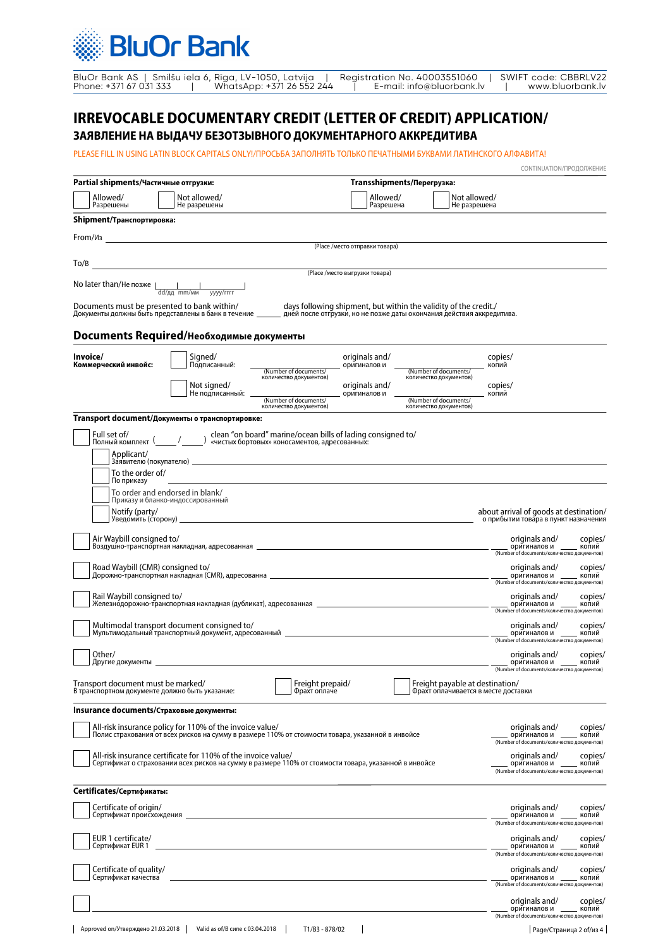| BluOr Bank AS   Smilšu iela 6, Rīga, LV-1050, Latvija |  |                           | Reaistration No. 40003551060 |  | SWIFT code: CBBRLV22 |
|-------------------------------------------------------|--|---------------------------|------------------------------|--|----------------------|
| Phone: +371 67 031 333                                |  | WhatsApp: +371 26 552 244 | E-mail: info@bluorbank.lv    |  | www.bluorbank.lv     |

# **IRREVOCABLE DOCUMENTARY CREDIT (LETTER OF CREDIT) APPLICATION/**

**ЗАЯВЛЕНИЕ НА ВЫДАЧУ БЕЗОТЗЫВНОГО ДОКУМЕНТАРНОГО АККРЕДИТИВА**

PLEASE FILL IN USING LATIN BLOCK CAPITALS ONLY!/ПРОСЬБА ЗАПОЛНЯТЬ ТОЛЬКО ПЕЧАТНЫМИ БУКВАМИ ЛАТИНСКОГО АЛФАВИТА!

| Partial shipments/Частичные отгрузки:                                                                                                                                                                                                                                           |                                  | Transshipments/Перегрузка:                                       |                                                                                    |                                     |
|---------------------------------------------------------------------------------------------------------------------------------------------------------------------------------------------------------------------------------------------------------------------------------|----------------------------------|------------------------------------------------------------------|------------------------------------------------------------------------------------|-------------------------------------|
| Allowed/<br>Not allowed/<br>Разрешены<br>Не разрешены                                                                                                                                                                                                                           |                                  | Allowed/<br>Разрешена                                            | Not allowed/<br>Не разрешена                                                       |                                     |
| Shipment/Транспортировка:                                                                                                                                                                                                                                                       |                                  |                                                                  |                                                                                    |                                     |
|                                                                                                                                                                                                                                                                                 | (Place / место отправки товара)  |                                                                  |                                                                                    |                                     |
| To/B<br>and the control of the control of the control of the control of the control of the control of the control of the                                                                                                                                                        |                                  |                                                                  |                                                                                    |                                     |
|                                                                                                                                                                                                                                                                                 | (Place /место выгрузки товара)   |                                                                  |                                                                                    |                                     |
| No later than/He позже $\parallel$<br>dd/дд mm/мм уууу/гггг                                                                                                                                                                                                                     |                                  |                                                                  |                                                                                    |                                     |
| Documents must be presented to bank within/<br>Documents must be presented to bank within/      days following shipment, but within the validity of the credit<br>Документы должны быть представлены в банк в течение _______ дней после отгрузки, но не позже даты окончания д |                                  | days following shipment, but within the validity of the credit./ |                                                                                    |                                     |
| <b>Documents Required/Необходимые документы</b>                                                                                                                                                                                                                                 |                                  |                                                                  |                                                                                    |                                     |
| Invoice/<br>Signed/<br>Коммерческий инвойс:<br>Подписанный:                                                                                                                                                                                                                     | originals and/<br>оригиналов и   |                                                                  | copies/                                                                            |                                     |
| (Number of documents/<br>количество документов)                                                                                                                                                                                                                                 |                                  |                                                                  | копий<br>(Number of documents/<br>количество документов)                           |                                     |
| Not signed/<br>Не подписанный:<br>(Number of documents/                                                                                                                                                                                                                         | originals and/<br>оригиналов и   |                                                                  | copies/<br>копий<br>(Number of documents/<br>количество документов)                |                                     |
| количество документов)<br>Transport document/Документы о транспортировке:                                                                                                                                                                                                       |                                  |                                                                  |                                                                                    |                                     |
| $\frac{1}{2}$ (lean "on board" marine/ocean bills of lading consigned to/<br>Full set of/<br>Полный комплект (                                                                                                                                                                  |                                  |                                                                  |                                                                                    |                                     |
| Applicant/                                                                                                                                                                                                                                                                      |                                  |                                                                  |                                                                                    |                                     |
| To the order of/                                                                                                                                                                                                                                                                |                                  |                                                                  |                                                                                    |                                     |
| По приказу<br>To order and endorsed in blank/                                                                                                                                                                                                                                   |                                  |                                                                  |                                                                                    |                                     |
| Приказу и бланко-индоссированный<br>Notify (party/                                                                                                                                                                                                                              |                                  |                                                                  | about arrival of goods at destination/                                             |                                     |
|                                                                                                                                                                                                                                                                                 |                                  |                                                                  | о прибытии товара в пункт назначения                                               |                                     |
| Air Waybill consigned to/                                                                                                                                                                                                                                                       |                                  |                                                                  | originals and/<br>(Number of documents/количество документов)                      | copies/<br>оригиналов и _____ копий |
| Road Waybill (CMR) consigned to/                                                                                                                                                                                                                                                |                                  |                                                                  | originals and/<br>оригиналов и __<br>(Number of documents/количество документов)   | copies/<br>копий                    |
| Rail Waybill consigned to/                                                                                                                                                                                                                                                      |                                  |                                                                  | originals and/<br>оригиналов и ____<br>(Number of documents/количество документов) | copies/<br>копий                    |
| Multimodal transport document consigned to/<br>Мультимодальный транспортный документ, адресованный _____________________________                                                                                                                                                |                                  |                                                                  | originals and/<br>оригиналов и<br>(Number of documents/количество документов)      | copies/<br>. копий                  |
| Other/<br>Другие документы                                                                                                                                                                                                                                                      |                                  |                                                                  | originals and/<br>оригиналов и _<br>(Number of documents/количество документов)    | copies/<br>копий                    |
| Transport document must be marked/<br>В транспортном документе должно быть указание:                                                                                                                                                                                            | Freight prepaid/<br>Фрахт оплаче |                                                                  | Freight payable at destination/<br>Фрахт оплачивается в месте доставки             |                                     |
| Insurance documents/Страховые документы:                                                                                                                                                                                                                                        |                                  |                                                                  |                                                                                    |                                     |
| All-risk insurance policy for 110% of the invoice value/<br>Полис страхования от всех рисков на сумму в размере 110% от стоимости товара, указанной в инвойсе                                                                                                                   |                                  |                                                                  | originals and/<br>оригиналов и<br>(Number of documents/количество документов)      | copies/<br>копий                    |
| All-risk insurance certificate for 110% of the invoice value/<br>Сертификат о страховании всех рисков на сумму в размере 110% от стоимости товара, указанной в инвойсе                                                                                                          |                                  |                                                                  | originals and/<br>оригиналов и                                                     | copies/<br>копий                    |
|                                                                                                                                                                                                                                                                                 |                                  |                                                                  | (Number of documents/количество документов)                                        |                                     |
| Certificates/Сертификаты:                                                                                                                                                                                                                                                       |                                  |                                                                  |                                                                                    |                                     |
| Certificate of origin/<br>Сертификат происхождения                                                                                                                                                                                                                              |                                  |                                                                  | originals and/<br>оригиналов и _<br>(Number of documents/количество документов)    | copies/<br>копий                    |
| EUR 1 certificate/<br>Сертификат EUR 1                                                                                                                                                                                                                                          |                                  |                                                                  | originals and/<br>оригиналов и _<br>(Number of documents/количество документов)    | copies/<br>копий                    |
| Certificate of quality/<br>Сертификат качества                                                                                                                                                                                                                                  |                                  |                                                                  | originals and/<br>оригиналов и                                                     | copies/<br>копий                    |
|                                                                                                                                                                                                                                                                                 |                                  |                                                                  | (Number of documents/количество документов)<br>originals and/<br>оригиналов и _    | copies/<br>копий                    |
|                                                                                                                                                                                                                                                                                 |                                  |                                                                  | (Number of documents/количество документов)                                        |                                     |

CONTINUATION/ПРОДОЛЖЕНИЕ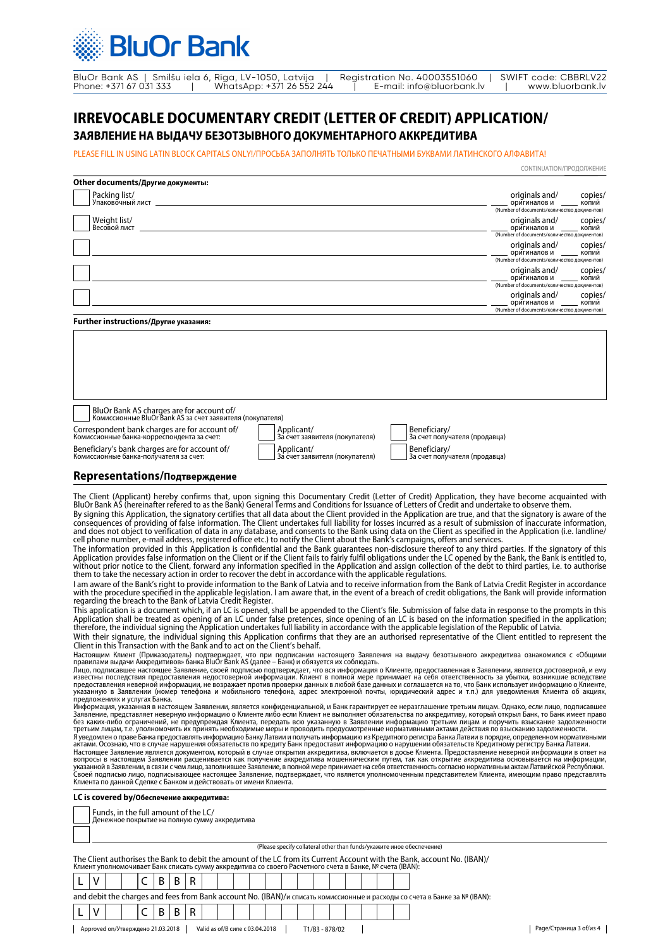BluOr Bank AS | Smilšu iela 6, Rīga, LV-1050, Latvija | Registration No. 40003551060 | SWIFT code: CBBRLV22 Phone: +371 67 031 333 | WhatsApp: +371 26 552 244 | E-mail: info@bluorbank.lv | www.bluorbank.lv

## **IRREVOCABLE DOCUMENTARY CREDIT (LETTER OF CREDIT) APPLICATION/**

### **ЗАЯВЛЕНИЕ НА ВЫДАЧУ БЕЗОТЗЫВНОГО ДОКУМЕНТАРНОГО АККРЕДИТИВА**

PLEASE FILL IN USING LATIN BLOCK CAPITALS ONLY!/ПРОСЬБА ЗАПОЛНЯТЬ ТОЛЬКО ПЕЧАТНЫМИ БУКВАМИ ЛАТИНСКОГО АЛФАВИТА!

|                                                                                                                                                                                                                                                                                                                                                                                                                                                                                                                                                                                                                                                                                                                                                                                                                                                                                                                                                                                                                                                                                                                                                                                                                                                                                                                                                                                                                                                                                                                                                                                                                                                                                                                                                                                                                                                                                                                                                                                                                                                                                                                                                                                                                                                                                                                                                                                                                                                                                                                                                                                                                                                                                                                                                                                                                                                                                                                                                                                                                                                                                                                                                                                                                                                                                                                                                                                                                                                                                                                                                                                                                                                                                                                                                                                                                                                                                                                                                                                                                                                                                                                                                                                                                                                                                                                                                                                                                                                                                                                                                                                                                                                                                                                                                                                                                                                                                                                                                                                                                                                                                                                                                                                                                                                               | CONTINUATION/ПРОДОЛЖЕНИЕ                                                      |                  |
|---------------------------------------------------------------------------------------------------------------------------------------------------------------------------------------------------------------------------------------------------------------------------------------------------------------------------------------------------------------------------------------------------------------------------------------------------------------------------------------------------------------------------------------------------------------------------------------------------------------------------------------------------------------------------------------------------------------------------------------------------------------------------------------------------------------------------------------------------------------------------------------------------------------------------------------------------------------------------------------------------------------------------------------------------------------------------------------------------------------------------------------------------------------------------------------------------------------------------------------------------------------------------------------------------------------------------------------------------------------------------------------------------------------------------------------------------------------------------------------------------------------------------------------------------------------------------------------------------------------------------------------------------------------------------------------------------------------------------------------------------------------------------------------------------------------------------------------------------------------------------------------------------------------------------------------------------------------------------------------------------------------------------------------------------------------------------------------------------------------------------------------------------------------------------------------------------------------------------------------------------------------------------------------------------------------------------------------------------------------------------------------------------------------------------------------------------------------------------------------------------------------------------------------------------------------------------------------------------------------------------------------------------------------------------------------------------------------------------------------------------------------------------------------------------------------------------------------------------------------------------------------------------------------------------------------------------------------------------------------------------------------------------------------------------------------------------------------------------------------------------------------------------------------------------------------------------------------------------------------------------------------------------------------------------------------------------------------------------------------------------------------------------------------------------------------------------------------------------------------------------------------------------------------------------------------------------------------------------------------------------------------------------------------------------------------------------------------------------------------------------------------------------------------------------------------------------------------------------------------------------------------------------------------------------------------------------------------------------------------------------------------------------------------------------------------------------------------------------------------------------------------------------------------------------------------------------------------------------------------------------------------------------------------------------------------------------------------------------------------------------------------------------------------------------------------------------------------------------------------------------------------------------------------------------------------------------------------------------------------------------------------------------------------------------------------------------------------------------------------------------------------------------------------------------------------------------------------------------------------------------------------------------------------------------------------------------------------------------------------------------------------------------------------------------------------------------------------------------------------------------------------------------------------------------------------------------------------------------------------------------------------|-------------------------------------------------------------------------------|------------------|
| Other documents/Другие документы:                                                                                                                                                                                                                                                                                                                                                                                                                                                                                                                                                                                                                                                                                                                                                                                                                                                                                                                                                                                                                                                                                                                                                                                                                                                                                                                                                                                                                                                                                                                                                                                                                                                                                                                                                                                                                                                                                                                                                                                                                                                                                                                                                                                                                                                                                                                                                                                                                                                                                                                                                                                                                                                                                                                                                                                                                                                                                                                                                                                                                                                                                                                                                                                                                                                                                                                                                                                                                                                                                                                                                                                                                                                                                                                                                                                                                                                                                                                                                                                                                                                                                                                                                                                                                                                                                                                                                                                                                                                                                                                                                                                                                                                                                                                                                                                                                                                                                                                                                                                                                                                                                                                                                                                                                             |                                                                               |                  |
| Packing list/<br>Упаковочный лист                                                                                                                                                                                                                                                                                                                                                                                                                                                                                                                                                                                                                                                                                                                                                                                                                                                                                                                                                                                                                                                                                                                                                                                                                                                                                                                                                                                                                                                                                                                                                                                                                                                                                                                                                                                                                                                                                                                                                                                                                                                                                                                                                                                                                                                                                                                                                                                                                                                                                                                                                                                                                                                                                                                                                                                                                                                                                                                                                                                                                                                                                                                                                                                                                                                                                                                                                                                                                                                                                                                                                                                                                                                                                                                                                                                                                                                                                                                                                                                                                                                                                                                                                                                                                                                                                                                                                                                                                                                                                                                                                                                                                                                                                                                                                                                                                                                                                                                                                                                                                                                                                                                                                                                                                             | originals and/<br>оригиналов и                                                | copies/          |
|                                                                                                                                                                                                                                                                                                                                                                                                                                                                                                                                                                                                                                                                                                                                                                                                                                                                                                                                                                                                                                                                                                                                                                                                                                                                                                                                                                                                                                                                                                                                                                                                                                                                                                                                                                                                                                                                                                                                                                                                                                                                                                                                                                                                                                                                                                                                                                                                                                                                                                                                                                                                                                                                                                                                                                                                                                                                                                                                                                                                                                                                                                                                                                                                                                                                                                                                                                                                                                                                                                                                                                                                                                                                                                                                                                                                                                                                                                                                                                                                                                                                                                                                                                                                                                                                                                                                                                                                                                                                                                                                                                                                                                                                                                                                                                                                                                                                                                                                                                                                                                                                                                                                                                                                                                                               | (Number of documents/количество документов)                                   | копий            |
| Weight list/<br>Весовой лист                                                                                                                                                                                                                                                                                                                                                                                                                                                                                                                                                                                                                                                                                                                                                                                                                                                                                                                                                                                                                                                                                                                                                                                                                                                                                                                                                                                                                                                                                                                                                                                                                                                                                                                                                                                                                                                                                                                                                                                                                                                                                                                                                                                                                                                                                                                                                                                                                                                                                                                                                                                                                                                                                                                                                                                                                                                                                                                                                                                                                                                                                                                                                                                                                                                                                                                                                                                                                                                                                                                                                                                                                                                                                                                                                                                                                                                                                                                                                                                                                                                                                                                                                                                                                                                                                                                                                                                                                                                                                                                                                                                                                                                                                                                                                                                                                                                                                                                                                                                                                                                                                                                                                                                                                                  | originals and/<br>оригиналов и<br>(Number of documents/количество документов) | copies/<br>копий |
|                                                                                                                                                                                                                                                                                                                                                                                                                                                                                                                                                                                                                                                                                                                                                                                                                                                                                                                                                                                                                                                                                                                                                                                                                                                                                                                                                                                                                                                                                                                                                                                                                                                                                                                                                                                                                                                                                                                                                                                                                                                                                                                                                                                                                                                                                                                                                                                                                                                                                                                                                                                                                                                                                                                                                                                                                                                                                                                                                                                                                                                                                                                                                                                                                                                                                                                                                                                                                                                                                                                                                                                                                                                                                                                                                                                                                                                                                                                                                                                                                                                                                                                                                                                                                                                                                                                                                                                                                                                                                                                                                                                                                                                                                                                                                                                                                                                                                                                                                                                                                                                                                                                                                                                                                                                               | originals and/<br>оригиналов и<br>(Number of documents/количество документов) | copies/<br>копий |
|                                                                                                                                                                                                                                                                                                                                                                                                                                                                                                                                                                                                                                                                                                                                                                                                                                                                                                                                                                                                                                                                                                                                                                                                                                                                                                                                                                                                                                                                                                                                                                                                                                                                                                                                                                                                                                                                                                                                                                                                                                                                                                                                                                                                                                                                                                                                                                                                                                                                                                                                                                                                                                                                                                                                                                                                                                                                                                                                                                                                                                                                                                                                                                                                                                                                                                                                                                                                                                                                                                                                                                                                                                                                                                                                                                                                                                                                                                                                                                                                                                                                                                                                                                                                                                                                                                                                                                                                                                                                                                                                                                                                                                                                                                                                                                                                                                                                                                                                                                                                                                                                                                                                                                                                                                                               | originals and/<br>оригиналов и<br>(Number of documents/количество документов) | copies/<br>копий |
|                                                                                                                                                                                                                                                                                                                                                                                                                                                                                                                                                                                                                                                                                                                                                                                                                                                                                                                                                                                                                                                                                                                                                                                                                                                                                                                                                                                                                                                                                                                                                                                                                                                                                                                                                                                                                                                                                                                                                                                                                                                                                                                                                                                                                                                                                                                                                                                                                                                                                                                                                                                                                                                                                                                                                                                                                                                                                                                                                                                                                                                                                                                                                                                                                                                                                                                                                                                                                                                                                                                                                                                                                                                                                                                                                                                                                                                                                                                                                                                                                                                                                                                                                                                                                                                                                                                                                                                                                                                                                                                                                                                                                                                                                                                                                                                                                                                                                                                                                                                                                                                                                                                                                                                                                                                               | originals and/<br>оригиналов и<br>(Number of documents/количество документов) | copies/<br>копий |
| Further instructions/Другие указания:                                                                                                                                                                                                                                                                                                                                                                                                                                                                                                                                                                                                                                                                                                                                                                                                                                                                                                                                                                                                                                                                                                                                                                                                                                                                                                                                                                                                                                                                                                                                                                                                                                                                                                                                                                                                                                                                                                                                                                                                                                                                                                                                                                                                                                                                                                                                                                                                                                                                                                                                                                                                                                                                                                                                                                                                                                                                                                                                                                                                                                                                                                                                                                                                                                                                                                                                                                                                                                                                                                                                                                                                                                                                                                                                                                                                                                                                                                                                                                                                                                                                                                                                                                                                                                                                                                                                                                                                                                                                                                                                                                                                                                                                                                                                                                                                                                                                                                                                                                                                                                                                                                                                                                                                                         |                                                                               |                  |
| BluOr Bank AS charges are for account of/                                                                                                                                                                                                                                                                                                                                                                                                                                                                                                                                                                                                                                                                                                                                                                                                                                                                                                                                                                                                                                                                                                                                                                                                                                                                                                                                                                                                                                                                                                                                                                                                                                                                                                                                                                                                                                                                                                                                                                                                                                                                                                                                                                                                                                                                                                                                                                                                                                                                                                                                                                                                                                                                                                                                                                                                                                                                                                                                                                                                                                                                                                                                                                                                                                                                                                                                                                                                                                                                                                                                                                                                                                                                                                                                                                                                                                                                                                                                                                                                                                                                                                                                                                                                                                                                                                                                                                                                                                                                                                                                                                                                                                                                                                                                                                                                                                                                                                                                                                                                                                                                                                                                                                                                                     |                                                                               |                  |
| Комиссионные BluOr Bank AS за счет заявителя (покупателя)                                                                                                                                                                                                                                                                                                                                                                                                                                                                                                                                                                                                                                                                                                                                                                                                                                                                                                                                                                                                                                                                                                                                                                                                                                                                                                                                                                                                                                                                                                                                                                                                                                                                                                                                                                                                                                                                                                                                                                                                                                                                                                                                                                                                                                                                                                                                                                                                                                                                                                                                                                                                                                                                                                                                                                                                                                                                                                                                                                                                                                                                                                                                                                                                                                                                                                                                                                                                                                                                                                                                                                                                                                                                                                                                                                                                                                                                                                                                                                                                                                                                                                                                                                                                                                                                                                                                                                                                                                                                                                                                                                                                                                                                                                                                                                                                                                                                                                                                                                                                                                                                                                                                                                                                     |                                                                               |                  |
| Correspondent bank charges are for account of/<br>Applicant/<br>Beneficiary/<br>Комиссионные банка-корреспондента за счет:<br>За счет заявителя (покупателя)<br>За счет получателя (продавца)                                                                                                                                                                                                                                                                                                                                                                                                                                                                                                                                                                                                                                                                                                                                                                                                                                                                                                                                                                                                                                                                                                                                                                                                                                                                                                                                                                                                                                                                                                                                                                                                                                                                                                                                                                                                                                                                                                                                                                                                                                                                                                                                                                                                                                                                                                                                                                                                                                                                                                                                                                                                                                                                                                                                                                                                                                                                                                                                                                                                                                                                                                                                                                                                                                                                                                                                                                                                                                                                                                                                                                                                                                                                                                                                                                                                                                                                                                                                                                                                                                                                                                                                                                                                                                                                                                                                                                                                                                                                                                                                                                                                                                                                                                                                                                                                                                                                                                                                                                                                                                                                 |                                                                               |                  |
| Beneficiary's bank charges are for account of/<br>Applicant/<br>Beneficiary/<br>Комиссионные банка-получателя за счет:<br>За счет заявителя (покупателя)<br>За счет получателя (продавца)                                                                                                                                                                                                                                                                                                                                                                                                                                                                                                                                                                                                                                                                                                                                                                                                                                                                                                                                                                                                                                                                                                                                                                                                                                                                                                                                                                                                                                                                                                                                                                                                                                                                                                                                                                                                                                                                                                                                                                                                                                                                                                                                                                                                                                                                                                                                                                                                                                                                                                                                                                                                                                                                                                                                                                                                                                                                                                                                                                                                                                                                                                                                                                                                                                                                                                                                                                                                                                                                                                                                                                                                                                                                                                                                                                                                                                                                                                                                                                                                                                                                                                                                                                                                                                                                                                                                                                                                                                                                                                                                                                                                                                                                                                                                                                                                                                                                                                                                                                                                                                                                     |                                                                               |                  |
| Representations/Подтверждение                                                                                                                                                                                                                                                                                                                                                                                                                                                                                                                                                                                                                                                                                                                                                                                                                                                                                                                                                                                                                                                                                                                                                                                                                                                                                                                                                                                                                                                                                                                                                                                                                                                                                                                                                                                                                                                                                                                                                                                                                                                                                                                                                                                                                                                                                                                                                                                                                                                                                                                                                                                                                                                                                                                                                                                                                                                                                                                                                                                                                                                                                                                                                                                                                                                                                                                                                                                                                                                                                                                                                                                                                                                                                                                                                                                                                                                                                                                                                                                                                                                                                                                                                                                                                                                                                                                                                                                                                                                                                                                                                                                                                                                                                                                                                                                                                                                                                                                                                                                                                                                                                                                                                                                                                                 |                                                                               |                  |
| The Client (Applicant) hereby confirms that, upon signing this Documentary Credit (Letter of Credit) Application, they have become acquainted with<br>BluOr Bank AS (hereinafter refered to as the Bank) General Terms and Condit<br>By signing this Application, the signatory certifies that all data about the Client provided in the Application are true, and that the signatory is aware of the<br>consequences of providing of false information. The Client undertakes full liability for losses incurred as a result of submission of inaccurate information,<br>and does not object to verification of data in any database, and consents to the Bank using data on the Client as specified in the Application (i.e. landline/<br>cell phone number, e-mail address, registered office etc.) to notify the Client about the Bank's campaigns, offers and services.<br>The information provided in this Application is confidential and the Bank quarantees non-disclosure thereof to any third parties. If the signatory of this<br>Application provides false information on the Client or if the Client fails to fairly fulfil obligations under the LC opened by the Bank, the Bank is entitled to,<br>without prior notice to the Client, forward any information specified in the Application and assign collection of the debt to third parties, i.e. to authorise<br>them to take the necessary action in order to recover the debt in accordance with the applicable regulations.<br>I am aware of the Bank's right to provide information to the Bank of Latvia and to receive information from the Bank of Latvia Credit Register in accordance<br>with the procedure specified in the applicable legislation. I am aware that, in the event of a breach of credit obligations, the Bank will provide information<br>regarding the breach to the Bank of Latvia Credit Register.<br>This application is a document which, if an LC is opened, shall be appended to the Client's file. Submission of false data in response to the prompts in this<br>Application shall be treated as opening of an LC under false pretences, since opening of an LC is based on the information specified in the application;<br>therefore, the individual signing the Application undertakes full liability in accordance with the applicable legislation of the Republic of Latvia.<br>With their signature, the individual signing this Application confirms that they are an authorised representative of the Client entitled to represent the<br>Client in this Transaction with the Bank and to act on the Client's behalf.<br>Настоящим Клиент (Приказодатель) подтверждает, что при подписании настоящего Заявления на выдачу безотзывного аккредитива ознакомился с «Общими<br>правилами выдачи Аккредитивов» банка BluOr Bank AS (далее – Банк) и обязуется их соблюдать.<br>Лицо, подписавшее настоящее Заявление, своей подписью подтверждает, что вся информация о Клиенте, предоставленная в Заявлении, является достоверной, и ему<br>известны последствия предоставления недостоверной информации. Клиент в полной мере принимает на себя ответственность за убытки, возникшие вследствие<br>предоставления неверной информации, не возражает против проверки данных в любой базе данных и соглашается на то, что Банк использует информацию о Клиенте,<br>указанную в Заявлении (номер телефона и мобильного телефона, адрес электронной почты, юридический адрес и т.п.) для уведомления Клиента об акциях,<br>предложениях и услугах Банка.<br>Информация, указанная в настоящем Заявлении, является конфиденциальной, и Банк гарантирует ее неразглашение третьим лицам. Однако, если лицо, подписавшее<br>Заявление, представляет неверную информацию о Клиенте либо если Клиент не выполняет обязательства по аккредитиву, который открыл Банк, то Банк имеет право<br>без каких-либо ограничений, не предупреждая Клиента, передать всю указанную в Заявлении информацию третьим лицам и поручить взыскание задолженности<br>третьим лицам, т.е. уполномочить их принять необходимые меры и проводить предусмотренные нормативными актами действия по взысканию задолженности.<br>Я уведомлен о праве Банка предоставлять информацию Банку Латвии и получать информацию из Кредитного регистра Банка Латвии в порядке, определенном нормативными<br>актами. Осознаю, что в случае нарушения обязательств по кредиту Банк предоставит информацию о нарушении обязательств Кредитному регистру Банка Латвии.<br>Настоящее Заявление является документом, который в случае открытия аккредитива, включается в досье Клиента. Предоставление неверной информации в ответ на<br>вопросы в настоящем Заявлении расценивается как получение аккредитива мошенническим путем, так как открытие аккредитива основывается на информации,<br>указанной в Заявлении, в связи с чем лицо, заполнившее Заявление, в полной мере принимает на себя ответственность согласно нормативным актам Латвийской Республики.<br>Своей подписью лицо, подписывающее настоящее Заявление, подтверждает, что является уполномоченным представителем Клиента, имеющим право представлять<br>Клиента по данной Сделке с Банком и действовать от имени Клиента. |                                                                               |                  |
| LC is covered by/Обеспечение аккредитива:                                                                                                                                                                                                                                                                                                                                                                                                                                                                                                                                                                                                                                                                                                                                                                                                                                                                                                                                                                                                                                                                                                                                                                                                                                                                                                                                                                                                                                                                                                                                                                                                                                                                                                                                                                                                                                                                                                                                                                                                                                                                                                                                                                                                                                                                                                                                                                                                                                                                                                                                                                                                                                                                                                                                                                                                                                                                                                                                                                                                                                                                                                                                                                                                                                                                                                                                                                                                                                                                                                                                                                                                                                                                                                                                                                                                                                                                                                                                                                                                                                                                                                                                                                                                                                                                                                                                                                                                                                                                                                                                                                                                                                                                                                                                                                                                                                                                                                                                                                                                                                                                                                                                                                                                                     |                                                                               |                  |
| Funds, in the full amount of the LC/<br>Денежное покрытие на полную сумму аккредитива                                                                                                                                                                                                                                                                                                                                                                                                                                                                                                                                                                                                                                                                                                                                                                                                                                                                                                                                                                                                                                                                                                                                                                                                                                                                                                                                                                                                                                                                                                                                                                                                                                                                                                                                                                                                                                                                                                                                                                                                                                                                                                                                                                                                                                                                                                                                                                                                                                                                                                                                                                                                                                                                                                                                                                                                                                                                                                                                                                                                                                                                                                                                                                                                                                                                                                                                                                                                                                                                                                                                                                                                                                                                                                                                                                                                                                                                                                                                                                                                                                                                                                                                                                                                                                                                                                                                                                                                                                                                                                                                                                                                                                                                                                                                                                                                                                                                                                                                                                                                                                                                                                                                                                         |                                                                               |                  |
| (Please specify collateral other than funds/укажите иное обеспечение)                                                                                                                                                                                                                                                                                                                                                                                                                                                                                                                                                                                                                                                                                                                                                                                                                                                                                                                                                                                                                                                                                                                                                                                                                                                                                                                                                                                                                                                                                                                                                                                                                                                                                                                                                                                                                                                                                                                                                                                                                                                                                                                                                                                                                                                                                                                                                                                                                                                                                                                                                                                                                                                                                                                                                                                                                                                                                                                                                                                                                                                                                                                                                                                                                                                                                                                                                                                                                                                                                                                                                                                                                                                                                                                                                                                                                                                                                                                                                                                                                                                                                                                                                                                                                                                                                                                                                                                                                                                                                                                                                                                                                                                                                                                                                                                                                                                                                                                                                                                                                                                                                                                                                                                         |                                                                               |                  |

The Client authorises the Bank to debit the amount of the LC from its Current Account with the Bank, account No. (IBAN)/<br>Клиент уполномочивает Банк списать сумму аккредитива со своего Расчетного счета в Банке, № счета (I

 $L |V|$   $|C|B|B|R$ and debit the charges and fees from Bank account No. (IBAN)/и списать комиссионные и расходы со счета в Банке за № (IBAN):  $L |V|$   $|C|B|B|R$